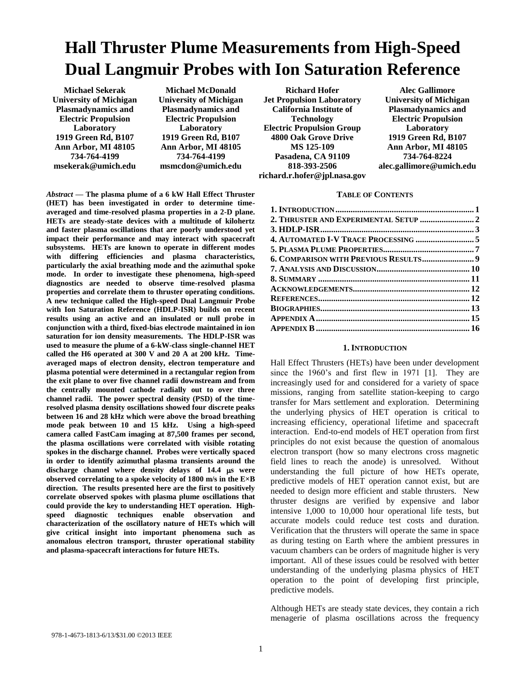# **Hall Thruster Plume Measurements from High-Speed Dual Langmuir Probes with Ion Saturation Reference**

**Michael Sekerak University of Michigan Plasmadynamics and Electric Propulsion Laboratory 1919 Green Rd, B107 Ann Arbor, MI 48105 734-764-4199 msekerak@umich.edu**

**Michael McDonald University of Michigan Plasmadynamics and Electric Propulsion Laboratory 1919 Green Rd, B107 Ann Arbor, MI 48105 734-764-4199 msmcdon@umich.edu**

*Abstract* **— The plasma plume of a 6 kW Hall Effect Thruster (HET) has been investigated in order to determine timeaveraged and time-resolved plasma properties in a 2-D plane. HETs are steady-state devices with a multitude of kilohertz and faster plasma oscillations that are poorly understood yet impact their performance and may interact with spacecraft subsystems. HETs are known to operate in different modes with differing efficiencies and plasma characteristics, particularly the axial breathing mode and the azimuthal spoke mode. In order to investigate these phenomena, high-speed diagnostics are needed to observe time-resolved plasma properties and correlate them to thruster operating conditions. A new technique called the High-speed Dual Langmuir Probe with Ion Saturation Reference (HDLP-ISR) builds on recent results using an active and an insulated or null probe in conjunction with a third, fixed-bias electrode maintained in ion saturation for ion density measurements. The HDLP-ISR was used to measure the plume of a 6-kW-class single-channel HET called the H6 operated at 300 V and 20 A at 200 kHz. Timeaveraged maps of electron density, electron temperature and plasma potential were determined in a rectangular region from the exit plane to over five channel radii downstream and from the centrally mounted cathode radially out to over three channel radii. The power spectral density (PSD) of the timeresolved plasma density oscillations showed four discrete peaks between 16 and 28 kHz which were above the broad breathing mode peak between 10 and 15 kHz. Using a high-speed camera called FastCam imaging at 87,500 frames per second, the plasma oscillations were correlated with visible rotating spokes in the discharge channel. Probes were vertically spaced in order to identify azimuthal plasma transients around the**  discharge channel where density delays of 14.4 **µs** were **observed correlating to a spoke velocity of 1800 m/s in the E×B direction. The results presented here are the first to positively correlate observed spokes with plasma plume oscillations that could provide the key to understanding HET operation. Highspeed diagnostic techniques enable observation and characterization of the oscillatory nature of HETs which will give critical insight into important phenomena such as anomalous electron transport, thruster operational stability and plasma-spacecraft interactions for future HETs.**

**Richard Hofer Jet Propulsion Laboratory California Institute of Technology Electric Propulsion Group 4800 Oak Grove Drive MS 125-109 Pasadena, CA 91109 818-393-2506 richard.r.hofer@jpl.nasa.gov**

**Alec Gallimore University of Michigan Plasmadynamics and Electric Propulsion Laboratory 1919 Green Rd, B107 Ann Arbor, MI 48105 734-764-8224 alec.gallimore@umich.edu**

#### **TABLE OF CONTENTS**

#### **1. INTRODUCTION**

<span id="page-0-0"></span>Hall Effect Thrusters (HETs) have been under development since the 1960's and first flew in 1971 [1]. They are increasingly used for and considered for a variety of space missions, ranging from satellite station-keeping to cargo transfer for Mars settlement and exploration. Determining the underlying physics of HET operation is critical to increasing efficiency, operational lifetime and spacecraft interaction. End-to-end models of HET operation from first principles do not exist because the question of anomalous electron transport (how so many electrons cross magnetic field lines to reach the anode) is unresolved. Without understanding the full picture of how HETs operate, predictive models of HET operation cannot exist, but are needed to design more efficient and stable thrusters. New thruster designs are verified by expensive and labor intensive 1,000 to 10,000 hour operational life tests, but accurate models could reduce test costs and duration. Verification that the thrusters will operate the same in space as during testing on Earth where the ambient pressures in vacuum chambers can be orders of magnitude higher is very important. All of these issues could be resolved with better understanding of the underlying plasma physics of HET operation to the point of developing first principle, predictive models.

Although HETs are steady state devices, they contain a rich menagerie of plasma oscillations across the frequency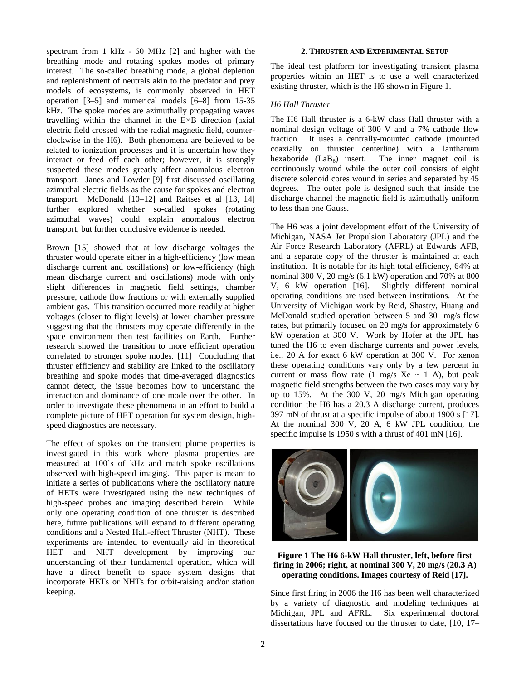spectrum from 1 kHz - 60 MHz [2] and higher with the breathing mode and rotating spokes modes of primary interest. The so-called breathing mode, a global depletion and replenishment of neutrals akin to the predator and prey models of ecosystems, is commonly observed in HET operation [3–5] and numerical models [6–8] from 15-35 kHz. The spoke modes are azimuthally propagating waves travelling within the channel in the E×B direction (axial electric field crossed with the radial magnetic field, counterclockwise in the H6). Both phenomena are believed to be related to ionization processes and it is uncertain how they interact or feed off each other; however, it is strongly suspected these modes greatly affect anomalous electron transport. Janes and Lowder [9] first discussed oscillating azimuthal electric fields as the cause for spokes and electron transport. McDonald [10–12] and Raitses et al [13, 14] further explored whether so-called spokes (rotating azimuthal waves) could explain anomalous electron transport, but further conclusive evidence is needed.

Brown [15] showed that at low discharge voltages the thruster would operate either in a high-efficiency (low mean discharge current and oscillations) or low-efficiency (high mean discharge current and oscillations) mode with only slight differences in magnetic field settings, chamber pressure, cathode flow fractions or with externally supplied ambient gas. This transition occurred more readily at higher voltages (closer to flight levels) at lower chamber pressure suggesting that the thrusters may operate differently in the space environment then test facilities on Earth. Further research showed the transition to more efficient operation correlated to stronger spoke modes. [11] Concluding that thruster efficiency and stability are linked to the oscillatory breathing and spoke modes that time-averaged diagnostics cannot detect, the issue becomes how to understand the interaction and dominance of one mode over the other. In order to investigate these phenomena in an effort to build a complete picture of HET operation for system design, highspeed diagnostics are necessary.

The effect of spokes on the transient plume properties is investigated in this work where plasma properties are measured at 100's of kHz and match spoke oscillations observed with high-speed imaging. This paper is meant to initiate a series of publications where the oscillatory nature of HETs were investigated using the new techniques of high-speed probes and imaging described herein. While only one operating condition of one thruster is described here, future publications will expand to different operating conditions and a Nested Hall-effect Thruster (NHT). These experiments are intended to eventually aid in theoretical HET and NHT development by improving our understanding of their fundamental operation, which will have a direct benefit to space system designs that incorporate HETs or NHTs for orbit-raising and/or station keeping.

## **2. THRUSTER AND EXPERIMENTAL SETUP**

<span id="page-1-0"></span>The ideal test platform for investigating transient plasma properties within an HET is to use a well characterized existing thruster, which is the H6 shown in [Figure 1.](#page-1-1)

# *H6 Hall Thruster*

The H6 Hall thruster is a 6-kW class Hall thruster with a nominal design voltage of 300 V and a 7% cathode flow fraction. It uses a centrally-mounted cathode (mounted coaxially on thruster centerline) with a lanthanum hexaboride  $(LaB_6)$  insert. The inner magnet coil is continuously wound while the outer coil consists of eight discrete solenoid cores wound in series and separated by 45 degrees. The outer pole is designed such that inside the discharge channel the magnetic field is azimuthally uniform to less than one Gauss.

The H6 was a joint development effort of the University of Michigan, NASA Jet Propulsion Laboratory (JPL) and the Air Force Research Laboratory (AFRL) at Edwards AFB, and a separate copy of the thruster is maintained at each institution. It is notable for its high total efficiency, 64% at nominal 300 V, 20 mg/s (6.1 kW) operation and 70% at 800 V, 6 kW operation [16]. Slightly different nominal operating conditions are used between institutions. At the University of Michigan work by Reid, Shastry, Huang and McDonald studied operation between 5 and 30 mg/s flow rates, but primarily focused on 20 mg/s for approximately 6 kW operation at 300 V. Work by Hofer at the JPL has tuned the H6 to even discharge currents and power levels, i.e., 20 A for exact 6 kW operation at 300 V. For xenon these operating conditions vary only by a few percent in current or mass flow rate  $(1 \text{ mg/s } Xe \sim 1 \text{ A})$ , but peak magnetic field strengths between the two cases may vary by up to 15%. At the 300 V, 20 mg/s Michigan operating condition the H6 has a 20.3 A discharge current, produces 397 mN of thrust at a specific impulse of about 1900 s [17]. At the nominal 300 V, 20 A, 6 kW JPL condition, the specific impulse is 1950 s with a thrust of 401 mN [16].



**Figure 1 The H6 6-kW Hall thruster, left, before first firing in 2006; right, at nominal 300 V, 20 mg/s (20.3 A) operating conditions. Images courtesy of Reid [17].**

<span id="page-1-1"></span>Since first firing in 2006 the H6 has been well characterized by a variety of diagnostic and modeling techniques at Michigan, JPL and AFRL. Six experimental doctoral dissertations have focused on the thruster to date, [10, 17–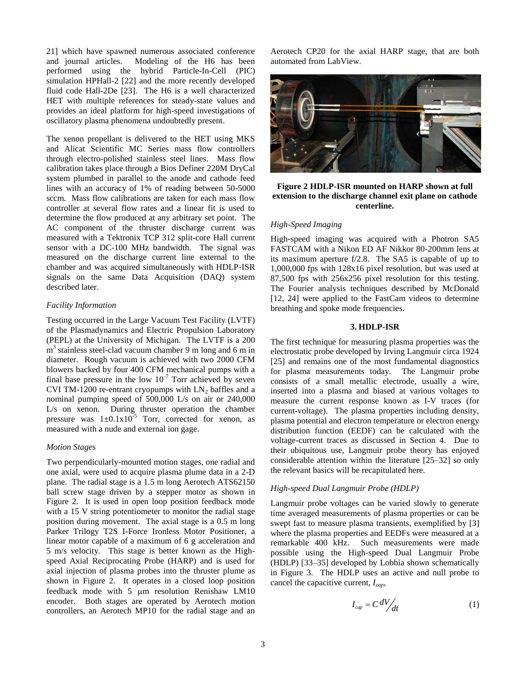21] which have spawned numerous associated conference and journal articles. Modeling of the H6 has been performed using the hybrid Particle-In-Cell (PIC) simulation HPHall-2 [22] and the more recently developed fluid code Hall-2De [23]. The H6 is a well characterized HET with multiple references for steady-state values and provides an ideal platform for high-speed investigations of oscillatory plasma phenomena undoubtedly present.

The xenon propellant is delivered to the HET using MKS and Alicat Scientific MC Series mass flow controllers through electro-polished stainless steel lines. Mass flow calibration takes place through a Bios Definer 220M DryCal system plumbed in parallel to the anode and cathode feed lines with an accuracy of 1% of reading between 50-5000 sccm. Mass flow calibrations are taken for each mass flow controller at several flow rates and a linear fit is used to determine the flow produced at any arbitrary set point. The AC component of the thruster discharge current was measured with a Tektronix TCP 312 split-core Hall current sensor with a DC-100 MHz bandwidth. The signal was measured on the discharge current line external to the chamber and was acquired simultaneously with HDLP-ISR signals on the same Data Acquisition (DAQ) system described later.

#### *Facility Information*

Testing occurred in the Large Vacuum Test Facility (LVTF) of the Plasmadynamics and Electric Propulsion Laboratory (PEPL) at the University of Michigan. The LVTF is a 200 m<sup>3</sup> stainless steel-clad vacuum chamber 9 m long and 6 m in diameter. Rough vacuum is achieved with two 2000 CFM blowers backed by four 400 CFM mechanical pumps with a final base pressure in the low  $10^{-7}$  Torr achieved by seven CVI TM-1200 re-entrant cryopumps with  $LN_2$  baffles and a nominal pumping speed of 500,000 L/s on air or 240,000 L/s on xenon. During thruster operation the chamber pressure was  $1\pm0.1x10^{-5}$  Torr, corrected for xenon, as measured with a nude and external ion gage.

#### *Motion Stages*

Two perpendicularly-mounted motion stages, one radial and one axial, were used to acquire plasma plume data in a 2-D plane. The radial stage is a 1.5 m long Aerotech ATS62150 ball screw stage driven by a stepper motor as shown in [Figure 2.](#page-2-1) It is used in open loop position feedback mode with a 15 V string potentiometer to monitor the radial stage position during movement. The axial stage is a 0.5 m long Parker Trilogy T2S I-Force Ironless Motor Positioner, a linear motor capable of a maximum of 6 g acceleration and 5 m/s velocity. This stage is better known as the Highspeed Axial Reciprocating Probe (HARP) and is used for axial injection of plasma probes into the thruster plume as shown in [Figure 2.](#page-2-1) It operates in a closed loop position feedback mode with  $5 \mu m$  resolution Renishaw LM10 encoder. Both stages are operated by Aerotech motion controllers, an Aerotech MP10 for the radial stage and an Aerotech CP20 for the axial HARP stage, that are both automated from LabView.



**Figure 2 HDLP-ISR mounted on HARP shown at full extension to the discharge channel exit plane on cathode centerline.**

# <span id="page-2-1"></span>*High-Speed Imaging*

High-speed imaging was acquired with a Photron SA5 FASTCAM with a Nikon ED AF Nikkor 80-200mm lens at its maximum aperture f/2.8. The SA5 is capable of up to 1,000,000 fps with 128x16 pixel resolution, but was used at 87,500 fps with 256x256 pixel resolution for this testing. The Fourier analysis techniques described by McDonald [12, 24] were applied to the FastCam videos to determine breathing and spoke mode frequencies.

# **3. HDLP-ISR**

<span id="page-2-0"></span>The first technique for measuring plasma properties was the electrostatic probe developed by Irving Langmuir circa 1924 [25] and remains one of the most fundamental diagnostics for plasma measurements today. The Langmuir probe consists of a small metallic electrode, usually a wire, inserted into a plasma and biased at various voltages to measure the current response known as I-V traces (for current-voltage). The plasma properties including density, plasma potential and electron temperature or electron energy distribution function (EEDF) can be calculated with the voltage-current traces as discussed in Section 4. Due to their ubiquitous use, Langmuir probe theory has enjoyed considerable attention within the literature [25–32] so only the relevant basics will be recapitulated here.

#### *High-speed Dual Langmuir Probe (HDLP)*

Langmuir probe voltages can be varied slowly to generate time averaged measurements of plasma properties or can be swept fast to measure plasma transients, exemplified by [3] where the plasma properties and EEDFs were measured at a remarkable 400 kHz. Such measurements were made possible using the High-speed Dual Langmuir Probe (HDLP) [33–35] developed by Lobbia shown schematically in [Figure 3.](#page-3-0) The HDLP uses an active and null probe to cancel the capacitive current, *Icap*,

$$
I_{cap} = C \frac{dV}{dt} \tag{1}
$$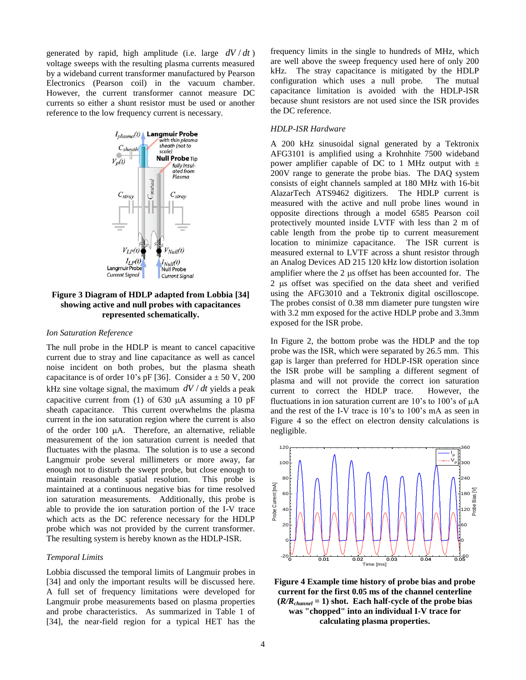generated by rapid, high amplitude (i.e. large  $dV/dt$ ) voltage sweeps with the resulting plasma currents measured by a wideband current transformer manufactured by Pearson Electronics (Pearson coil) in the vacuum chamber. However, the current transformer cannot measure DC currents so either a shunt resistor must be used or another reference to the low frequency current is necessary.



# <span id="page-3-0"></span>**Figure 3 Diagram of HDLP adapted from Lobbia [34] showing active and null probes with capacitances represented schematically.**

#### *Ion Saturation Reference*

The null probe in the HDLP is meant to cancel capacitive current due to stray and line capacitance as well as cancel noise incident on both probes, but the plasma sheath capacitance is of order 10's pF [36]. Consider  $a \pm 50$  V, 200 kHz sine voltage signal, the maximum  $dV/dt$  yields a peak capacitive current from (1) of 630  $\mu$ A assuming a 10 pF sheath capacitance. This current overwhelms the plasma current in the ion saturation region where the current is also of the order  $100 \mu A$ . Therefore, an alternative, reliable measurement of the ion saturation current is needed that fluctuates with the plasma. The solution is to use a second Langmuir probe several millimeters or more away, far enough not to disturb the swept probe, but close enough to maintain reasonable spatial resolution. This probe is maintained at a continuous negative bias for time resolved ion saturation measurements. Additionally, this probe is able to provide the ion saturation portion of the I-V trace which acts as the DC reference necessary for the HDLP probe which was not provided by the current transformer. The resulting system is hereby known as the HDLP-ISR.

## *Temporal Limits*

Lobbia discussed the temporal limits of Langmuir probes in [34] and only the important results will be discussed here. A full set of frequency limitations were developed for Langmuir probe measurements based on plasma properties and probe characteristics. As summarized in Table 1 of [34], the near-field region for a typical HET has the frequency limits in the single to hundreds of MHz, which are well above the sweep frequency used here of only 200 kHz. The stray capacitance is mitigated by the HDLP configuration which uses a null probe. The mutual capacitance limitation is avoided with the HDLP-ISR because shunt resistors are not used since the ISR provides the DC reference.

#### *HDLP-ISR Hardware*

A 200 kHz sinusoidal signal generated by a Tektronix AFG3101 is amplified using a Krohnhite 7500 wideband power amplifier capable of DC to 1 MHz output with  $\pm$ 200V range to generate the probe bias. The DAQ system consists of eight channels sampled at 180 MHz with 16-bit AlazarTech ATS9462 digitizers. The HDLP current is measured with the active and null probe lines wound in opposite directions through a model 6585 Pearson coil protectively mounted inside LVTF with less than 2 m of cable length from the probe tip to current measurement location to minimize capacitance. The ISR current is measured external to LVTF across a shunt resistor through an Analog Devices AD 215 120 kHz low distortion isolation amplifier where the  $2 \mu s$  offset has been accounted for. The 2 us offset was specified on the data sheet and verified using the AFG3010 and a Tektronix digital oscilloscope. The probes consist of 0.38 mm diameter pure tungsten wire with 3.2 mm exposed for the active HDLP probe and 3.3mm exposed for the ISR probe.

In [Figure 2,](#page-2-1) the bottom probe was the HDLP and the top probe was the ISR, which were separated by 26.5 mm. This gap is larger than preferred for HDLP-ISR operation since the ISR probe will be sampling a different segment of plasma and will not provide the correct ion saturation current to correct the HDLP trace. However, the fluctuations in ion saturation current are  $10$ 's to  $100$ 's of  $\mu$ A and the rest of the I-V trace is 10's to 100's mA as seen in [Figure 4](#page-3-1) so the effect on electron density calculations is negligible.



<span id="page-3-1"></span>**Figure 4 Example time history of probe bias and probe current for the first 0.05 ms of the channel centerline**   $(R/R_{channel} = 1)$  shot. Each half-cycle of the probe bias **was "chopped" into an individual I-V trace for calculating plasma properties.**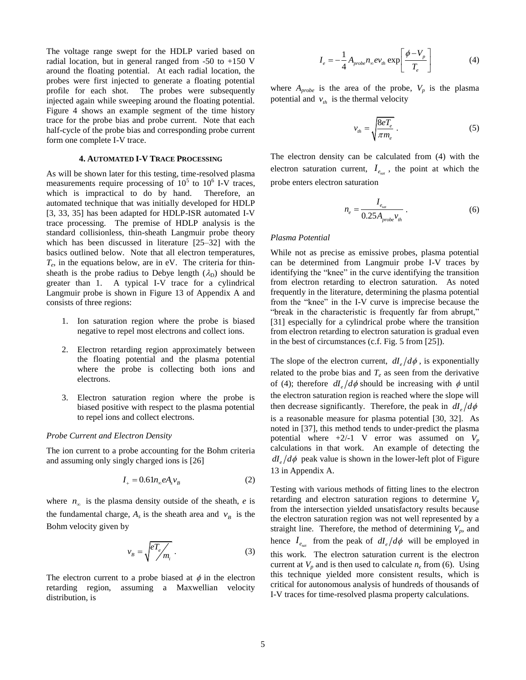The voltage range swept for the HDLP varied based on radial location, but in general ranged from  $-50$  to  $+150$  V around the floating potential. At each radial location, the probes were first injected to generate a floating potential profile for each shot. The probes were subsequently injected again while sweeping around the floating potential. [Figure 4](#page-3-1) shows an example segment of the time history trace for the probe bias and probe current. Note that each half-cycle of the probe bias and corresponding probe current form one complete I-V trace.

#### **4. AUTOMATED I-V TRACE PROCESSING**

<span id="page-4-0"></span>As will be shown later for this testing, time-resolved plasma measurements require processing of  $10^5$  to  $10^6$  I-V traces, which is impractical to do by hand. Therefore, an automated technique that was initially developed for HDLP [3, 33, 35] has been adapted for HDLP-ISR automated I-V trace processing. The premise of HDLP analysis is the standard collisionless, thin-sheath Langmuir probe theory which has been discussed in literature [25–32] with the basics outlined below. Note that all electron temperatures,  $T_e$ , in the equations below, are in eV. The criteria for thinsheath is the probe radius to Debye length  $(\lambda_D)$  should be greater than 1. A typical I-V trace for a cylindrical Langmuir probe is shown in [Figure 13](#page-14-1) of Appendix A and consists of three regions:

- 1. Ion saturation region where the probe is biased negative to repel most electrons and collect ions.
- 2. Electron retarding region approximately between the floating potential and the plasma potential where the probe is collecting both ions and electrons.
- 3. Electron saturation region where the probe is biased positive with respect to the plasma potential to repel ions and collect electrons.

#### *Probe Current and Electron Density*

The ion current to a probe accounting for the Bohm criteria and assuming only singly charged ions is [26]

$$
I_+ = 0.61 n_\infty e A_s v_B \tag{2}
$$

where  $n_{\infty}$  is the plasma density outside of the sheath, *e* is the fundamental charge,  $A_s$  is the sheath area and  $v_B$  is the Bohm velocity given by

$$
v_B = \sqrt{\frac{eT_e}{m_i}}.
$$
 (3)

The electron current to a probe biased at  $\phi$  in the electron retarding region, assuming a Maxwellian velocity distribution, is

$$
I_e = -\frac{1}{4} A_{probe} n_{\infty} e v_{th} \exp\left[\frac{\phi - V_p}{T_e}\right]
$$
 (4)

where  $A_{probe}$  is the area of the probe,  $V_p$  is the plasma potential and  $v_{th}$  is the thermal velocity

$$
v_{th} = \sqrt{\frac{8eT_e}{\pi m_e}}\tag{5}
$$

The electron density can be calculated from (4) with the electron saturation current,  $I_{e_{sat}}$ , the point at which the probe enters electron saturation

$$
n_e = \frac{I_{e_{sat}}}{0.25 A_{probe} v_{th}}.
$$
 (6)

#### *Plasma Potential*

While not as precise as emissive probes, plasma potential can be determined from Langmuir probe I-V traces by identifying the "knee" in the curve identifying the transition from electron retarding to electron saturation. As noted frequently in the literature, determining the plasma potential from the "knee" in the I-V curve is imprecise because the "break in the characteristic is frequently far from abrupt," [31] especially for a cylindrical probe where the transition from electron retarding to electron saturation is gradual even in the best of circumstances (c.f. Fig. 5 from [25]).

The slope of the electron current,  $dI_e/d\phi$ , is exponentially related to the probe bias and  $T_e$  as seen from the derivative of (4); therefore  $dI_e/d\phi$  should be increasing with  $\phi$  until the electron saturation region is reached where the slope will then decrease significantly. Therefore, the peak in  $dI_e/d\phi$ is a reasonable measure for plasma potential [30, 32]. As noted in [37], this method tends to under-predict the plasma potential where  $+2/-1$  V error was assumed on  $V_p$ calculations in that work. An example of detecting the  $dI_e/d\phi$  peak value is shown in the lower-left plot of Figure [13](#page-14-1) in Appendix A.

Testing with various methods of fitting lines to the electron retarding and electron saturation regions to determine  $V_p$ from the intersection yielded unsatisfactory results because the electron saturation region was not well represented by a straight line. Therefore, the method of determining  $V_p$ , and hence  $I_{e_{sat}}$  from the peak of  $dI_e/d\phi$  will be employed in this work. The electron saturation current is the electron current at  $V_p$  and is then used to calculate  $n_e$  from (6). Using this technique yielded more consistent results, which is critical for autonomous analysis of hundreds of thousands of I-V traces for time-resolved plasma property calculations.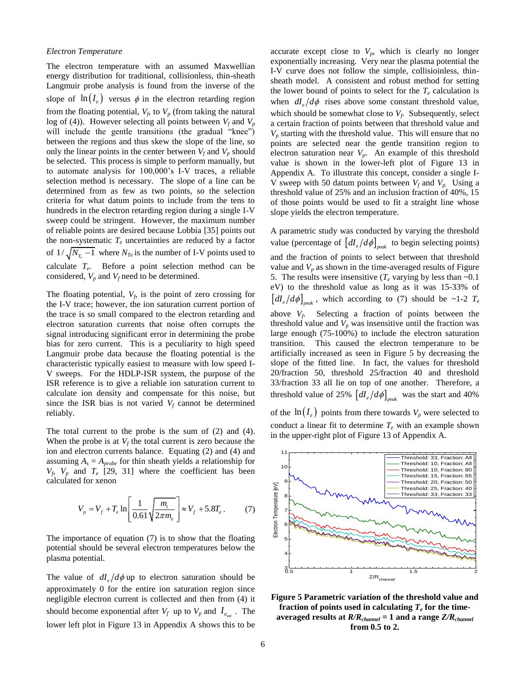#### *Electron Temperature*

The electron temperature with an assumed Maxwellian energy distribution for traditional, collisionless, thin-sheath Langmuir probe analysis is found from the inverse of the slope of  $\ln(I_e)$  versus  $\phi$  in the electron retarding region from the floating potential,  $V_f$ , to  $V_p$  (from taking the natural log of (4)). However selecting all points between  $V_f$  and  $V_p$ will include the gentle transitions (the gradual "knee") between the regions and thus skew the slope of the line, so only the linear points in the center between  $V_f$  and  $V_p$  should be selected. This process is simple to perform manually, but to automate analysis for 100,000's I-V traces, a reliable selection method is necessary. The slope of a line can be determined from as few as two points, so the selection criteria for what datum points to include from the tens to hundreds in the electron retarding region during a single I-V sweep could be stringent. However, the maximum number of reliable points are desired because Lobbia [35] points out the non-systematic  $T_e$  uncertainties are reduced by a factor of  $1/\sqrt{N_{T_e}-1}$  where  $N_{Te}$  is the number of I-V points used to calculate *T<sup>e</sup>* . Before a point selection method can be considered,  $V_p$  and  $V_f$  need to be determined.

The floating potential,  $V_f$ , is the point of zero crossing for the I-V trace; however, the ion saturation current portion of the trace is so small compared to the electron retarding and electron saturation currents that noise often corrupts the signal introducing significant error in determining the probe bias for zero current. This is a peculiarity to high speed Langmuir probe data because the floating potential is the characteristic typically easiest to measure with low speed I-V sweeps. For the HDLP-ISR system, the purpose of the ISR reference is to give a reliable ion saturation current to calculate ion density and compensate for this noise, but since the ISR bias is not varied  $V_f$  cannot be determined reliably.

The total current to the probe is the sum of (2) and (4). When the probe is at  $V_f$  the total current is zero because the ion and electron currents balance. Equating (2) and (4) and assuming  $A_s = A_{probe}$  for thin sheath yields a relationship for  $V_f$ ,  $V_p$  and  $T_e$  [29, 31] where the coefficient has been calculated for xenon

$$
V_p = V_f + T_e \ln \left[ \frac{1}{0.61} \sqrt{\frac{m_i}{2\pi m_e}} \right] \approx V_f + 5.8T_e. \tag{7}
$$

The importance of equation (7) is to show that the floating potential should be several electron temperatures below the plasma potential.

The value of  $dI_e/d\phi$  up to electron saturation should be approximately 0 for the entire ion saturation region since negligible electron current is collected and then from (4) it should become exponential after  $V_f$  up to  $V_p$  and  $I_{e_{sat}}$ . The lower left plot in [Figure 13](#page-14-1) in Appendix A shows this to be

accurate except close to  $V_p$ , which is clearly no longer exponentially increasing. Very near the plasma potential the I-V curve does not follow the simple, collisioinless, thinsheath model. A consistent and robust method for setting the lower bound of points to select for the  $T_e$  calculation is when  $dI_e/d\phi$  rises above some constant threshold value, which should be somewhat close to  $V_f$ . Subsequently, select a certain fraction of points between that threshold value and *V<sup>p</sup>* starting with the threshold value. This will ensure that no points are selected near the gentle transition region to electron saturation near  $V_p$ . An example of this threshold value is shown in the lower-left plot of [Figure 13](#page-14-1) in Appendix A. To illustrate this concept, consider a single I-V sweep with 50 datum points between  $V_f$  and  $V_p$ . Using a threshold value of 25% and an inclusion fraction of 40%, 15 of those points would be used to fit a straight line whose slope yields the electron temperature.

A parametric study was conducted by varying the threshold value (percentage of  $\left[dI_e/d\phi\right]_{peak}$  to begin selecting points) and the fraction of points to select between that threshold value and  $V_p$  as shown in the time-averaged results of Figure [5.](#page-5-0) The results were insensitive ( $T_e$  varying by less than  $\sim 0.1$ ) eV) to the threshold value as long as it was 15-33% of  $\left[dI_e/d\phi\right]_{peak}$ , which according to (7) should be ~1-2  $T_e$ above  $V_f$ . Selecting a fraction of points between the threshold value and  $V_p$  was insensitive until the fraction was large enough (75-100%) to include the electron saturation transition. This caused the electron temperature to be artificially increased as seen in [Figure 5](#page-5-0) by decreasing the slope of the fitted line. In fact, the values for threshold 20/fraction 50, threshold 25/fraction 40 and threshold 33/fraction 33 all lie on top of one another. Therefore, a threshold value of 25%  $\left[dI_e/d\phi\right]_{peak}$  was the start and 40%

of the  $\ln(I_e)$  points from there towards  $V_p$  were selected to conduct a linear fit to determine  $T_e$  with an example shown in the upper-right plot of [Figure 13](#page-14-1) of Appendix A.



<span id="page-5-0"></span>**Figure 5 Parametric variation of the threshold value and fraction of points used in calculating**  $T_e$  **for the timeaveraged results at** *R/Rchannel* **= 1 and a range** *Z/Rchannel* **from 0.5 to 2.**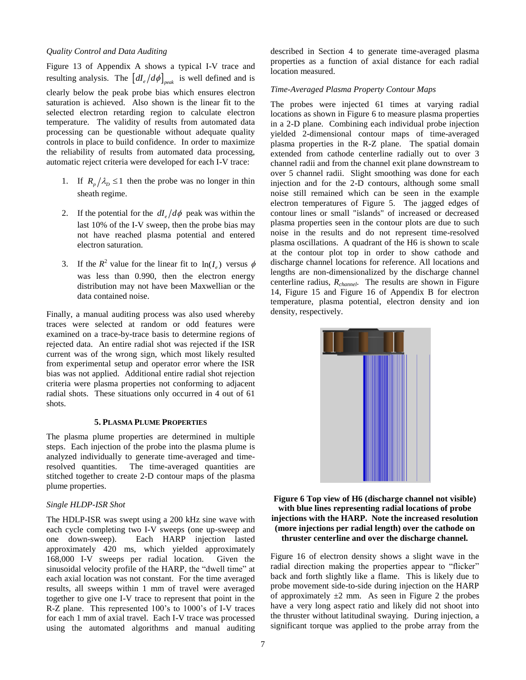# *Quality Control and Data Auditing*

[Figure 13](#page-14-1) of Appendix A shows a typical I-V trace and resulting analysis. The  $\left[dI_e/d\phi\right]_{peak}$  is well defined and is clearly below the peak probe bias which ensures electron saturation is achieved. Also shown is the linear fit to the selected electron retarding region to calculate electron temperature. The validity of results from automated data processing can be questionable without adequate quality controls in place to build confidence. In order to maximize the reliability of results from automated data processing, automatic reject criteria were developed for each I-V trace:

- 1. If  $R_p / \lambda_p \le 1$  then the probe was no longer in thin sheath regime.
- 2. If the potential for the  $dI_e/d\phi$  peak was within the last 10% of the I-V sweep, then the probe bias may not have reached plasma potential and entered electron saturation.
- 3. If the  $R^2$  value for the linear fit to  $\ln(I_e)$  versus  $\phi$ was less than 0.990, then the electron energy distribution may not have been Maxwellian or the data contained noise.

Finally, a manual auditing process was also used whereby traces were selected at random or odd features were examined on a trace-by-trace basis to determine regions of rejected data. An entire radial shot was rejected if the ISR current was of the wrong sign, which most likely resulted from experimental setup and operator error where the ISR bias was not applied. Additional entire radial shot rejection criteria were plasma properties not conforming to adjacent radial shots. These situations only occurred in 4 out of 61 shots.

#### **5. PLASMA PLUME PROPERTIES**

<span id="page-6-0"></span>The plasma plume properties are determined in multiple steps. Each injection of the probe into the plasma plume is analyzed individually to generate time-averaged and timeresolved quantities. The time-averaged quantities are stitched together to create 2-D contour maps of the plasma plume properties.

#### *Single HLDP-ISR Shot*

The HDLP-ISR was swept using a 200 kHz sine wave with each cycle completing two I-V sweeps (one up-sweep and one down-sweep). Each HARP injection lasted approximately 420 ms, which yielded approximately 168,000 I-V sweeps per radial location. Given the sinusoidal velocity profile of the HARP, the "dwell time" at each axial location was not constant. For the time averaged results, all sweeps within 1 mm of travel were averaged together to give one I-V trace to represent that point in the R-Z plane. This represented 100's to 1000's of I-V traces for each 1 mm of axial travel. Each I-V trace was processed using the automated algorithms and manual auditing described in Section 4 to generate time-averaged plasma properties as a function of axial distance for each radial location measured.

## *Time-Averaged Plasma Property Contour Maps*

The probes were injected 61 times at varying radial locations as shown in [Figure 6](#page-6-1) to measure plasma properties in a 2-D plane. Combining each individual probe injection yielded 2-dimensional contour maps of time-averaged plasma properties in the R-Z plane. The spatial domain extended from cathode centerline radially out to over 3 channel radii and from the channel exit plane downstream to over 5 channel radii. Slight smoothing was done for each injection and for the 2-D contours, although some small noise still remained which can be seen in the example electron temperatures of [Figure 5.](#page-5-0) The jagged edges of contour lines or small "islands" of increased or decreased plasma properties seen in the contour plots are due to such noise in the results and do not represent time-resolved plasma oscillations. A quadrant of the H6 is shown to scale at the contour plot top in order to show cathode and discharge channel locations for reference. All locations and lengths are non-dimensionalized by the discharge channel centerline radius, *Rchannel*. The results are shown in [Figure](#page-15-1)  [14,](#page-15-1) [Figure 15](#page-15-2) and [Figure 16](#page-15-3) of Appendix B for electron temperature, plasma potential, electron density and ion density, respectively.



# <span id="page-6-1"></span>**Figure 6 Top view of H6 (discharge channel not visible) with blue lines representing radial locations of probe injections with the HARP. Note the increased resolution (more injections per radial length) over the cathode on thruster centerline and over the discharge channel.**

[Figure 16](#page-15-3) of electron density shows a slight wave in the radial direction making the properties appear to "flicker" back and forth slightly like a flame. This is likely due to probe movement side-to-side during injection on the HARP of approximately  $\pm 2$  mm. As seen in [Figure 2](#page-2-1) the probes have a very long aspect ratio and likely did not shoot into the thruster without latitudinal swaying. During injection, a significant torque was applied to the probe array from the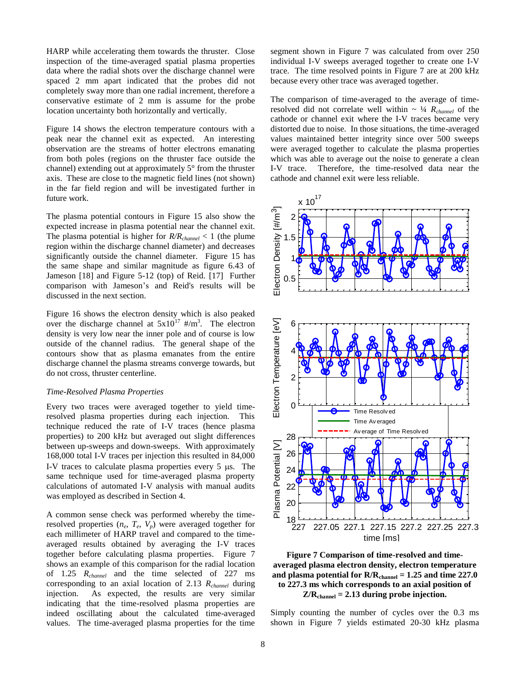HARP while accelerating them towards the thruster. Close inspection of the time-averaged spatial plasma properties data where the radial shots over the discharge channel were spaced 2 mm apart indicated that the probes did not completely sway more than one radial increment, therefore a conservative estimate of 2 mm is assume for the probe location uncertainty both horizontally and vertically.

[Figure 14](#page-15-1) shows the electron temperature contours with a peak near the channel exit as expected. An interesting observation are the streams of hotter electrons emanating from both poles (regions on the thruster face outside the channel) extending out at approximately 5° from the thruster axis. These are close to the magnetic field lines (not shown) in the far field region and will be investigated further in future work.

The plasma potential contours in [Figure 15](#page-15-2) also show the expected increase in plasma potential near the channel exit. The plasma potential is higher for *R/Rchannel* < 1 (the plume region within the discharge channel diameter) and decreases significantly outside the channel diameter. [Figure 15](#page-15-2) has the same shape and similar magnitude as figure 6.43 of Jameson [18] and Figure 5-12 (top) of Reid. [17] Further comparison with Jameson's and Reid's results will be discussed in the next section.

[Figure 16](#page-15-3) shows the electron density which is also peaked over the discharge channel at  $5x10^{17}$  #/m<sup>3</sup>. The electron density is very low near the inner pole and of course is low outside of the channel radius. The general shape of the contours show that as plasma emanates from the entire discharge channel the plasma streams converge towards, but do not cross, thruster centerline.

#### *Time-Resolved Plasma Properties*

Every two traces were averaged together to yield timeresolved plasma properties during each injection. This technique reduced the rate of I-V traces (hence plasma properties) to 200 kHz but averaged out slight differences between up-sweeps and down-sweeps. With approximately 168,000 total I-V traces per injection this resulted in 84,000 I-V traces to calculate plasma properties every  $5 \mu s$ . The same technique used for time-averaged plasma property calculations of automated I-V analysis with manual audits was employed as described in Section 4.

A common sense check was performed whereby the timeresolved properties  $(n_e, T_e, V_p)$  were averaged together for each millimeter of HARP travel and compared to the timeaveraged results obtained by averaging the I-V traces together before calculating plasma properties. [Figure 7](#page-7-0) shows an example of this comparison for the radial location of 1.25 *Rchannel* and the time selected of 227 ms corresponding to an axial location of 2.13 *Rchannel* during injection. As expected, the results are very similar indicating that the time-resolved plasma properties are indeed oscillating about the calculated time-averaged values. The time-averaged plasma properties for the time

segment shown in [Figure 7](#page-7-0) was calculated from over 250 individual I-V sweeps averaged together to create one I-V trace. The time resolved points in [Figure 7](#page-7-0) are at 200 kHz because every other trace was averaged together.

The comparison of time-averaged to the average of timeresolved did not correlate well within  $\sim \frac{1}{4} R_{channel}$  of the cathode or channel exit where the I-V traces became very distorted due to noise. In those situations, the time-averaged values maintained better integrity since over 500 sweeps were averaged together to calculate the plasma properties which was able to average out the noise to generate a clean I-V trace. Therefore, the time-resolved data near the cathode and channel exit were less reliable.



<span id="page-7-0"></span>

Simply counting the number of cycles over the 0.3 ms shown in [Figure 7](#page-7-0) yields estimated 20-30 kHz plasma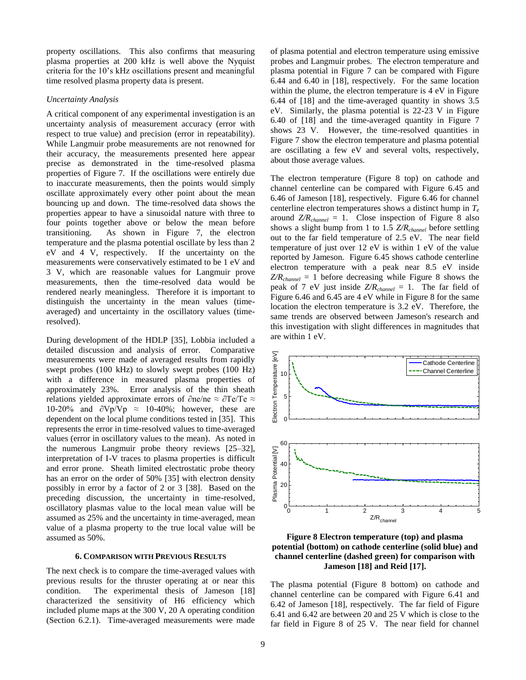property oscillations. This also confirms that measuring plasma properties at 200 kHz is well above the Nyquist criteria for the 10's kHz oscillations present and meaningful time resolved plasma property data is present.

## *Uncertainty Analysis*

A critical component of any experimental investigation is an uncertainty analysis of measurement accuracy (error with respect to true value) and precision (error in repeatability). While Langmuir probe measurements are not renowned for their accuracy, the measurements presented here appear precise as demonstrated in the time-resolved plasma properties of [Figure 7.](#page-7-0) If the oscillations were entirely due to inaccurate measurements, then the points would simply oscillate approximately every other point about the mean bouncing up and down. The time-resolved data shows the properties appear to have a sinusoidal nature with three to four points together above or below the mean before transitioning. As shown in [Figure 7,](#page-7-0) the electron temperature and the plasma potential oscillate by less than 2 eV and 4 V, respectively. If the uncertainty on the measurements were conservatively estimated to be 1 eV and 3 V, which are reasonable values for Langmuir prove measurements, then the time-resolved data would be rendered nearly meaningless. Therefore it is important to distinguish the uncertainty in the mean values (timeaveraged) and uncertainty in the oscillatory values (timeresolved).

During development of the HDLP [35], Lobbia included a detailed discussion and analysis of error. Comparative measurements were made of averaged results from rapidly swept probes (100 kHz) to slowly swept probes (100 Hz) with a difference in measured plasma properties of approximately 23%. Error analysis of the thin sheath relations yielded approximate errors of ∂ne/ne ≈ ∂Te/Te ≈ 10-20% and  $\partial Vp/Vp \approx 10-40\%$ ; however, these are dependent on the local plume conditions tested in [35]. This represents the error in time-resolved values to time-averaged values (error in oscillatory values to the mean). As noted in the numerous Langmuir probe theory reviews [25–32], interpretation of I-V traces to plasma properties is difficult and error prone. Sheath limited electrostatic probe theory has an error on the order of 50% [35] with electron density possibly in error by a factor of 2 or 3 [38]. Based on the preceding discussion, the uncertainty in time-resolved, oscillatory plasmas value to the local mean value will be assumed as 25% and the uncertainty in time-averaged, mean value of a plasma property to the true local value will be assumed as 50%.

#### **6. COMPARISON WITH PREVIOUS RESULTS**

<span id="page-8-0"></span>The next check is to compare the time-averaged values with previous results for the thruster operating at or near this condition. The experimental thesis of Jameson [18] characterized the sensitivity of H6 efficiency which included plume maps at the 300 V, 20 A operating condition (Section 6.2.1). Time-averaged measurements were made of plasma potential and electron temperature using emissive probes and Langmuir probes. The electron temperature and plasma potential in [Figure 7](#page-7-0) can be compared with Figure 6.44 and 6.40 in [18], respectively. For the same location within the plume, the electron temperature is 4 eV in Figure 6.44 of [18] and the time-averaged quantity in shows 3.5 eV. Similarly, the plasma potential is 22-23 V in Figure 6.40 of [18] and the time-averaged quantity in [Figure 7](#page-7-0) shows 23 V. However, the time-resolved quantities in [Figure 7](#page-7-0) show the electron temperature and plasma potential are oscillating a few eV and several volts, respectively, about those average values.

The electron temperature [\(Figure 8](#page-8-1) top) on cathode and channel centerline can be compared with Figure 6.45 and 6.46 of Jameson [18], respectively. Figure 6.46 for channel centerline electron temperatures shows a distinct hump in *T<sup>e</sup>* around  $Z/R_{channel} = 1$ . Close inspection of [Figure 8](#page-8-1) also shows a slight bump from 1 to 1.5 *Z/Rchannel* before settling out to the far field temperature of 2.5 eV. The near field temperature of just over 12 eV is within 1 eV of the value reported by Jameson. Figure 6.45 shows cathode centerline electron temperature with a peak near 8.5 eV inside *Z/Rchannel* = 1 before decreasing while [Figure 8](#page-8-1) shows the peak of 7 eV just inside *Z/Rchannel* = 1. The far field of Figure 6.46 and 6.45 are 4 eV while in [Figure 8](#page-8-1) for the same location the electron temperature is 3.2 eV. Therefore, the same trends are observed between Jameson's research and this investigation with slight differences in magnitudes that are within 1 eV.



<span id="page-8-1"></span>**Figure 8 Electron temperature (top) and plasma potential (bottom) on cathode centerline (solid blue) and channel centerline (dashed green) for comparison with Jameson [18] and Reid [17].**

The plasma potential [\(Figure 8](#page-8-1) bottom) on cathode and channel centerline can be compared with Figure 6.41 and 6.42 of Jameson [18], respectively. The far field of Figure 6.41 and 6.42 are between 20 and 25 V which is close to the far field in [Figure 8](#page-8-1) of 25 V. The near field for channel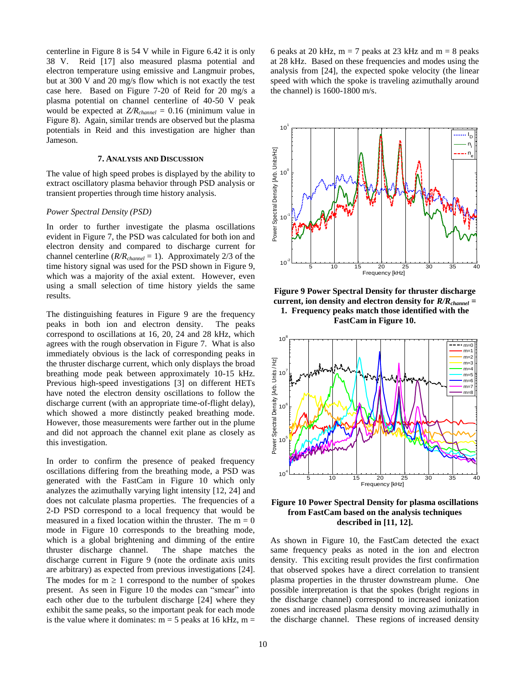centerline in [Figure 8](#page-8-1) is 54 V while in Figure 6.42 it is only 38 V. Reid [17] also measured plasma potential and electron temperature using emissive and Langmuir probes, but at 300 V and 20 mg/s flow which is not exactly the test case here. Based on Figure 7-20 of Reid for 20 mg/s a plasma potential on channel centerline of 40-50 V peak would be expected at *Z/Rchannel* = 0.16 (minimum value in [Figure 8\)](#page-8-1). Again, similar trends are observed but the plasma potentials in Reid and this investigation are higher than Jameson.

#### **7. ANALYSIS AND DISCUSSION**

<span id="page-9-0"></span>The value of high speed probes is displayed by the ability to extract oscillatory plasma behavior through PSD analysis or transient properties through time history analysis.

# *Power Spectral Density (PSD)*

In order to further investigate the plasma oscillations evident in [Figure 7,](#page-7-0) the PSD was calculated for both ion and electron density and compared to discharge current for channel centerline (*R/Rchannel* = 1). Approximately 2/3 of the time history signal was used for the PSD shown in [Figure 9,](#page-9-1) which was a majority of the axial extent. However, even using a small selection of time history yields the same results.

The distinguishing features in [Figure 9](#page-9-1) are the frequency peaks in both ion and electron density. The peaks correspond to oscillations at 16, 20, 24 and 28 kHz, which agrees with the rough observation in [Figure 7.](#page-7-0) What is also immediately obvious is the lack of corresponding peaks in the thruster discharge current, which only displays the broad breathing mode peak between approximately 10-15 kHz. Previous high-speed investigations [3] on different HETs have noted the electron density oscillations to follow the discharge current (with an appropriate time-of-flight delay), which showed a more distinctly peaked breathing mode. However, those measurements were farther out in the plume and did not approach the channel exit plane as closely as this investigation.

In order to confirm the presence of peaked frequency oscillations differing from the breathing mode, a PSD was generated with the FastCam in [Figure 10](#page-9-2) which only analyzes the azimuthally varying light intensity [12, 24] and does not calculate plasma properties. The frequencies of a 2-D PSD correspond to a local frequency that would be measured in a fixed location within the thruster. The  $m = 0$ mode in [Figure 10](#page-9-2) corresponds to the breathing mode, which is a global brightening and dimming of the entire thruster discharge channel. The shape matches the discharge current in [Figure 9](#page-9-1) (note the ordinate axis units are arbitrary) as expected from previous investigations [24]. The modes for  $m \geq 1$  correspond to the number of spokes present. As seen in [Figure 10](#page-9-2) the modes can "smear" into each other due to the turbulent discharge [24] where they exhibit the same peaks, so the important peak for each mode is the value where it dominates:  $m = 5$  peaks at 16 kHz,  $m =$  6 peaks at 20 kHz,  $m = 7$  peaks at 23 kHz and  $m = 8$  peaks at 28 kHz. Based on these frequencies and modes using the analysis from [24], the expected spoke velocity (the linear speed with which the spoke is traveling azimuthally around the channel) is 1600-1800 m/s.



<span id="page-9-1"></span>**Figure 9 Power Spectral Density for thruster discharge current, ion density and electron density for** *R/Rchannel* **= 1. Frequency peaks match those identified with the FastCam in [Figure 10.](#page-9-2)**



<span id="page-9-2"></span>**Figure 10 Power Spectral Density for plasma oscillations from FastCam based on the analysis techniques described in [11, 12].**

As shown in [Figure 10,](#page-9-2) the FastCam detected the exact same frequency peaks as noted in the ion and electron density. This exciting result provides the first confirmation that observed spokes have a direct correlation to transient plasma properties in the thruster downstream plume. One possible interpretation is that the spokes (bright regions in the discharge channel) correspond to increased ionization zones and increased plasma density moving azimuthally in the discharge channel. These regions of increased density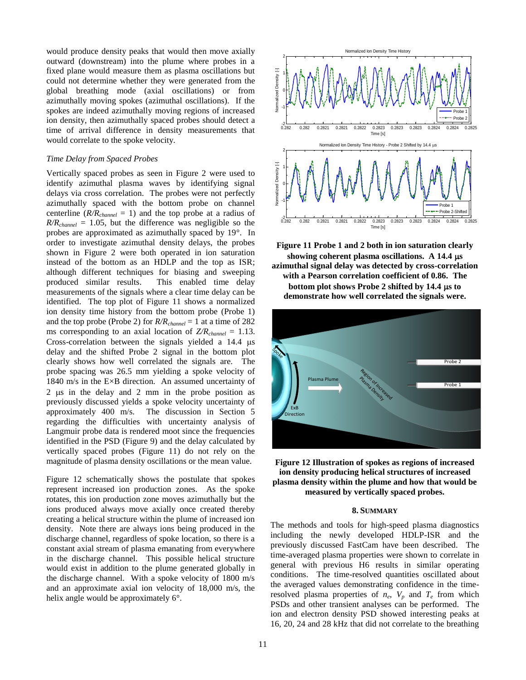would produce density peaks that would then move axially outward (downstream) into the plume where probes in a fixed plane would measure them as plasma oscillations but could not determine whether they were generated from the global breathing mode (axial oscillations) or from azimuthally moving spokes (azimuthal oscillations). If the spokes are indeed azimuthally moving regions of increased ion density, then azimuthally spaced probes should detect a time of arrival difference in density measurements that would correlate to the spoke velocity.

# *Time Delay from Spaced Probes*

Vertically spaced probes as seen in [Figure 2](#page-2-1) were used to identify azimuthal plasma waves by identifying signal delays via cross correlation. The probes were not perfectly azimuthally spaced with the bottom probe on channel centerline  $(R/R_{channel} = 1)$  and the top probe at a radius of  $R/R_{channel} = 1.05$ , but the difference was negligible so the probes are approximated as azimuthally spaced by 19°. In order to investigate azimuthal density delays, the probes shown in [Figure 2](#page-2-1) were both operated in ion saturation instead of the bottom as an HDLP and the top as ISR; although different techniques for biasing and sweeping produced similar results. This enabled time delay measurements of the signals where a clear time delay can be identified. The top plot of [Figure 11](#page-10-1) shows a normalized ion density time history from the bottom probe (Probe 1) and the top probe (Probe 2) for *R/Rchannel* = 1 at a time of 282 ms corresponding to an axial location of  $Z/R_{channel} = 1.13$ . Cross-correlation between the signals yielded a  $14.4 \text{ }\mu\text{s}$ delay and the shifted Probe 2 signal in the bottom plot clearly shows how well correlated the signals are. The probe spacing was 26.5 mm yielding a spoke velocity of 1840 m/s in the E×B direction. An assumed uncertainty of  $2 \text{ }\mu\text{s}$  in the delay and  $2 \text{ }\text{mm}$  in the probe position as previously discussed yields a spoke velocity uncertainty of approximately 400 m/s. The discussion in Section 5 regarding the difficulties with uncertainty analysis of Langmuir probe data is rendered moot since the frequencies identified in the PSD [\(Figure 9\)](#page-9-1) and the delay calculated by vertically spaced probes [\(Figure 11\)](#page-10-1) do not rely on the magnitude of plasma density oscillations or the mean value.

[Figure 12](#page-10-2) schematically shows the postulate that spokes represent increased ion production zones. As the spoke rotates, this ion production zone moves azimuthally but the ions produced always move axially once created thereby creating a helical structure within the plume of increased ion density. Note there are always ions being produced in the discharge channel, regardless of spoke location, so there is a constant axial stream of plasma emanating from everywhere in the discharge channel. This possible helical structure would exist in addition to the plume generated globally in the discharge channel. With a spoke velocity of 1800 m/s and an approximate axial ion velocity of 18,000 m/s, the helix angle would be approximately 6°.



<span id="page-10-1"></span>**Figure 11 Probe 1 and 2 both in ion saturation clearly**  showing coherent plasma oscillations. A 14.4  $\mu$ s **azimuthal signal delay was detected by cross-correlation with a Pearson correlation coefficient of 0.86. The bottom plot shows Probe 2 shifted by 14.4 µs to demonstrate how well correlated the signals were.**



<span id="page-10-2"></span>

#### **8. SUMMARY**

<span id="page-10-0"></span>The methods and tools for high-speed plasma diagnostics including the newly developed HDLP-ISR and the previously discussed FastCam have been described. The time-averaged plasma properties were shown to correlate in general with previous H6 results in similar operating conditions. The time-resolved quantities oscillated about the averaged values demonstrating confidence in the timeresolved plasma properties of  $n_e$ ,  $V_p$  and  $T_e$  from which PSDs and other transient analyses can be performed. The ion and electron density PSD showed interesting peaks at 16, 20, 24 and 28 kHz that did not correlate to the breathing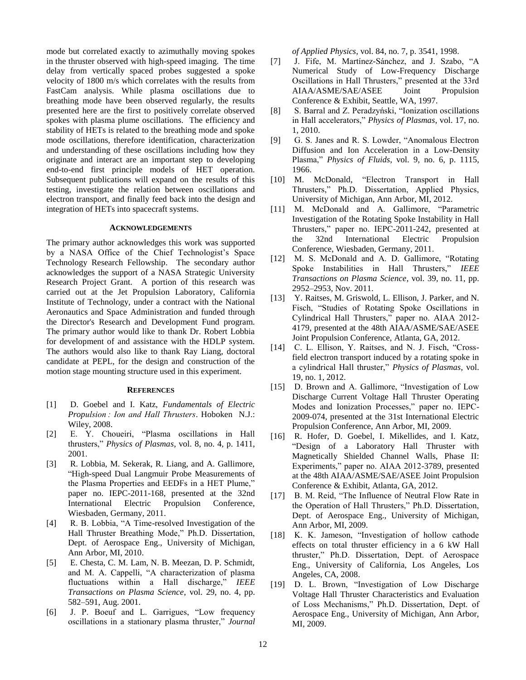mode but correlated exactly to azimuthally moving spokes in the thruster observed with high-speed imaging. The time delay from vertically spaced probes suggested a spoke velocity of 1800 m/s which correlates with the results from FastCam analysis. While plasma oscillations due to breathing mode have been observed regularly, the results presented here are the first to positively correlate observed spokes with plasma plume oscillations. The efficiency and stability of HETs is related to the breathing mode and spoke mode oscillations, therefore identification, characterization and understanding of these oscillations including how they originate and interact are an important step to developing end-to-end first principle models of HET operation. Subsequent publications will expand on the results of this testing, investigate the relation between oscillations and electron transport, and finally feed back into the design and integration of HETs into spacecraft systems.

#### **ACKNOWLEDGEMENTS**

<span id="page-11-0"></span>The primary author acknowledges this work was supported by a NASA Office of the Chief Technologist's Space Technology Research Fellowship. The secondary author acknowledges the support of a NASA Strategic University Research Project Grant. A portion of this research was carried out at the Jet Propulsion Laboratory, California Institute of Technology, under a contract with the National Aeronautics and Space Administration and funded through the Director's Research and Development Fund program. The primary author would like to thank Dr. Robert Lobbia for development of and assistance with the HDLP system. The authors would also like to thank Ray Liang, doctoral candidate at PEPL, for the design and construction of the motion stage mounting structure used in this experiment.

#### **REFERENCES**

- <span id="page-11-1"></span>[1] D. Goebel and I. Katz, *Fundamentals of Electric Propulsion : Ion and Hall Thrusters*. Hoboken N.J.: Wiley, 2008.
- [2] E. Y. Choueiri, "Plasma oscillations in Hall thrusters," *Physics of Plasmas*, vol. 8, no. 4, p. 1411, 2001.
- [3] R. Lobbia, M. Sekerak, R. Liang, and A. Gallimore, "High-speed Dual Langmuir Probe Measurements of the Plasma Properties and EEDFs in a HET Plume," paper no. IEPC-2011-168, presented at the 32nd International Electric Propulsion Conference, Wiesbaden, Germany, 2011.
- [4] R. B. Lobbia, "A Time-resolved Investigation of the Hall Thruster Breathing Mode," Ph.D. Dissertation, Dept. of Aerospace Eng., University of Michigan, Ann Arbor, MI, 2010.
- [5] E. Chesta, C. M. Lam, N. B. Meezan, D. P. Schmidt, and M. A. Cappelli, "A characterization of plasma fluctuations within a Hall discharge," *IEEE Transactions on Plasma Science*, vol. 29, no. 4, pp. 582–591, Aug. 2001.
- [6] J. P. Boeuf and L. Garrigues, "Low frequency oscillations in a stationary plasma thruster," *Journal*

*of Applied Physics*, vol. 84, no. 7, p. 3541, 1998.

- [7] J. Fife, M. Martinez-Sánchez, and J. Szabo, "A Numerical Study of Low-Frequency Discharge Oscillations in Hall Thrusters," presented at the 33rd AIAA/ASME/SAE/ASEE Joint Propulsion Conference & Exhibit, Seattle, WA, 1997.
- [8] S. Barral and Z. Peradzyński, "Ionization oscillations" in Hall accelerators," *Physics of Plasmas*, vol. 17, no. 1, 2010.
- [9] G. S. Janes and R. S. Lowder, "Anomalous Electron Diffusion and Ion Acceleration in a Low-Density Plasma," *Physics of Fluids*, vol. 9, no. 6, p. 1115, 1966.
- [10] M. McDonald, "Electron Transport in Hall Thrusters," Ph.D. Dissertation, Applied Physics, University of Michigan, Ann Arbor, MI, 2012.
- [11] M. McDonald and A. Gallimore, "Parametric Investigation of the Rotating Spoke Instability in Hall Thrusters," paper no. IEPC-2011-242, presented at the 32nd International Electric Propulsion Conference, Wiesbaden, Germany, 2011.
- [12] M. S. McDonald and A. D. Gallimore, "Rotating Spoke Instabilities in Hall Thrusters," *IEEE Transactions on Plasma Science*, vol. 39, no. 11, pp. 2952–2953, Nov. 2011.
- [13] Y. Raitses, M. Griswold, L. Ellison, J. Parker, and N. Fisch, "Studies of Rotating Spoke Oscillations in Cylindrical Hall Thrusters," paper no. AIAA 2012- 4179, presented at the 48th AIAA/ASME/SAE/ASEE Joint Propulsion Conference, Atlanta, GA, 2012.
- [14] C. L. Ellison, Y. Raitses, and N. J. Fisch, "Crossfield electron transport induced by a rotating spoke in a cylindrical Hall thruster," *Physics of Plasmas*, vol. 19, no. 1, 2012.
- [15] D. Brown and A. Gallimore, "Investigation of Low Discharge Current Voltage Hall Thruster Operating Modes and Ionization Processes," paper no. IEPC-2009-074, presented at the 31st International Electric Propulsion Conference, Ann Arbor, MI, 2009.
- [16] R. Hofer, D. Goebel, I. Mikellides, and I. Katz, "Design of a Laboratory Hall Thruster with Magnetically Shielded Channel Walls, Phase II: Experiments," paper no. AIAA 2012-3789, presented at the 48th AIAA/ASME/SAE/ASEE Joint Propulsion Conference & Exhibit, Atlanta, GA, 2012.
- [17] B. M. Reid, "The Influence of Neutral Flow Rate in the Operation of Hall Thrusters," Ph.D. Dissertation, Dept. of Aerospace Eng., University of Michigan, Ann Arbor, MI, 2009.
- [18] K. K. Jameson, "Investigation of hollow cathode effects on total thruster efficiency in a 6 kW Hall thruster," Ph.D. Dissertation, Dept. of Aerospace Eng., University of California, Los Angeles, Los Angeles, CA, 2008.
- [19] D. L. Brown, "Investigation of Low Discharge Voltage Hall Thruster Characteristics and Evaluation of Loss Mechanisms," Ph.D. Dissertation, Dept. of Aerospace Eng., University of Michigan, Ann Arbor, MI, 2009.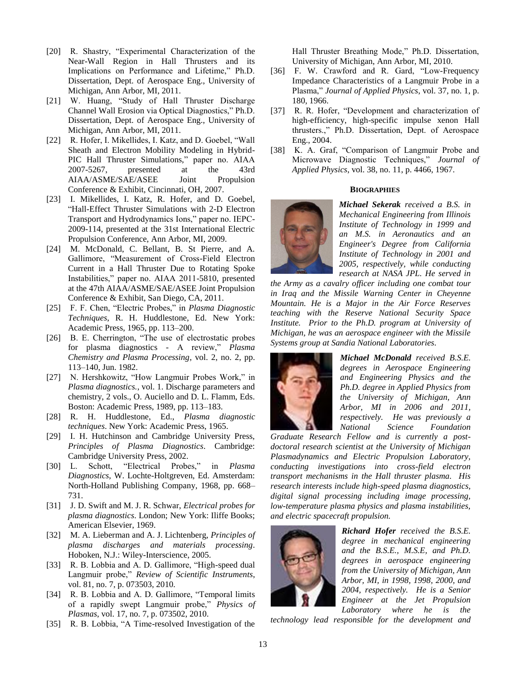- [20] R. Shastry, "Experimental Characterization of the Near-Wall Region in Hall Thrusters and its Implications on Performance and Lifetime," Ph.D. Dissertation, Dept. of Aerospace Eng., University of Michigan, Ann Arbor, MI, 2011.
- [21] W. Huang, "Study of Hall Thruster Discharge Channel Wall Erosion via Optical Diagnostics," Ph.D. Dissertation, Dept. of Aerospace Eng., University of Michigan, Ann Arbor, MI, 2011.
- [22] R. Hofer, I. Mikellides, I. Katz, and D. Goebel, "Wall Sheath and Electron Mobility Modeling in Hybrid-PIC Hall Thruster Simulations," paper no. AIAA 2007-5267, presented at the 43rd AIAA/ASME/SAE/ASEE Joint Propulsion Conference & Exhibit, Cincinnati, OH, 2007.
- [23] I. Mikellides, I. Katz, R. Hofer, and D. Goebel, "Hall-Effect Thruster Simulations with 2-D Electron Transport and Hydrodynamics Ions," paper no. IEPC-2009-114, presented at the 31st International Electric Propulsion Conference, Ann Arbor, MI, 2009.
- [24] M. McDonald, C. Bellant, B. St Pierre, and A. Gallimore, "Measurement of Cross-Field Electron Current in a Hall Thruster Due to Rotating Spoke Instabilities," paper no. AIAA 2011-5810, presented at the 47th AIAA/ASME/SAE/ASEE Joint Propulsion Conference & Exhibit, San Diego, CA, 2011.
- [25] F. F. Chen, "Electric Probes," in *Plasma Diagnostic Techniques*, R. H. Huddlestone, Ed. New York: Academic Press, 1965, pp. 113–200.
- [26] B. E. Cherrington, "The use of electrostatic probes for plasma diagnostics - A review," *Plasma Chemistry and Plasma Processing*, vol. 2, no. 2, pp. 113–140, Jun. 1982.
- [27] N. Hershkowitz, "How Langmuir Probes Work," in *Plasma diagnostics.*, vol. 1. Discharge parameters and chemistry, 2 vols., O. Auciello and D. L. Flamm, Eds. Boston: Academic Press, 1989, pp. 113–183.
- [28] R. H. Huddlestone, Ed., *Plasma diagnostic techniques*. New York: Academic Press, 1965.
- [29] I. H. Hutchinson and Cambridge University Press, *Principles of Plasma Diagnostics*. Cambridge: Cambridge University Press, 2002.
- [30] L. Schott, "Electrical Probes," in *Plasma Diagnostics*, W. Lochte-Holtgreven, Ed. Amsterdam: North-Holland Publishing Company, 1968, pp. 668– 731.
- [31] J. D. Swift and M. J. R. Schwar, *Electrical probes for plasma diagnostics*. London; New York: Iliffe Books; American Elsevier, 1969.
- [32] M. A. Lieberman and A. J. Lichtenberg, *Principles of plasma discharges and materials processing*. Hoboken, N.J.: Wiley-Interscience, 2005.
- [33] R. B. Lobbia and A. D. Gallimore, "High-speed dual Langmuir probe," *Review of Scientific Instruments*, vol. 81, no. 7, p. 073503, 2010.
- [34] R. B. Lobbia and A. D. Gallimore, "Temporal limits of a rapidly swept Langmuir probe," *Physics of Plasmas*, vol. 17, no. 7, p. 073502, 2010.
- [35] R. B. Lobbia, "A Time-resolved Investigation of the

Hall Thruster Breathing Mode," Ph.D. Dissertation, University of Michigan, Ann Arbor, MI, 2010.

- [36] F. W. Crawford and R. Gard, "Low-Frequency Impedance Characteristics of a Langmuir Probe in a Plasma," *Journal of Applied Physics*, vol. 37, no. 1, p. 180, 1966.
- [37] R. R. Hofer, "Development and characterization of high-efficiency, high-specific impulse xenon Hall thrusters.," Ph.D. Dissertation, Dept. of Aerospace Eng., 2004.
- [38] K. A. Graf, "Comparison of Langmuir Probe and Microwave Diagnostic Techniques," *Journal of Applied Physics*, vol. 38, no. 11, p. 4466, 1967.

## **BIOGRAPHIES**

<span id="page-12-0"></span>

*Michael Sekerak received a B.S. in Mechanical Engineering from Illinois Institute of Technology in 1999 and an M.S. in Aeronautics and an Engineer's Degree from California Institute of Technology in 2001 and 2005, respectively, while conducting research at NASA JPL. He served in* 

*the Army as a cavalry officer including one combat tour in Iraq and the Missile Warning Center in Cheyenne Mountain. He is a Major in the Air Force Reserves teaching with the Reserve National Security Space Institute. Prior to the Ph.D. program at University of Michigan, he was an aerospace engineer with the Missile Systems group at Sandia National Laboratories.*



*Michael McDonald received B.S.E. degrees in Aerospace Engineering and Engineering Physics and the Ph.D. degree in Applied Physics from the University of Michigan, Ann Arbor, MI in 2006 and 2011, respectively. He was previously a National Science Foundation* 

*Graduate Research Fellow and is currently a postdoctoral research scientist at the University of Michigan Plasmadynamics and Electric Propulsion Laboratory, conducting investigations into cross-field electron transport mechanisms in the Hall thruster plasma. His research interests include high-speed plasma diagnostics, digital signal processing including image processing, low-temperature plasma physics and plasma instabilities, and electric spacecraft propulsion.*



*Richard Hofer received the B.S.E. degree in mechanical engineering and the B.S.E., M.S.E, and Ph.D. degrees in aerospace engineering from the University of Michigan, Ann Arbor, MI, in 1998, 1998, 2000, and 2004, respectively. He is a Senior Engineer at the Jet Propulsion Laboratory where he is the* 

*technology lead responsible for the development and*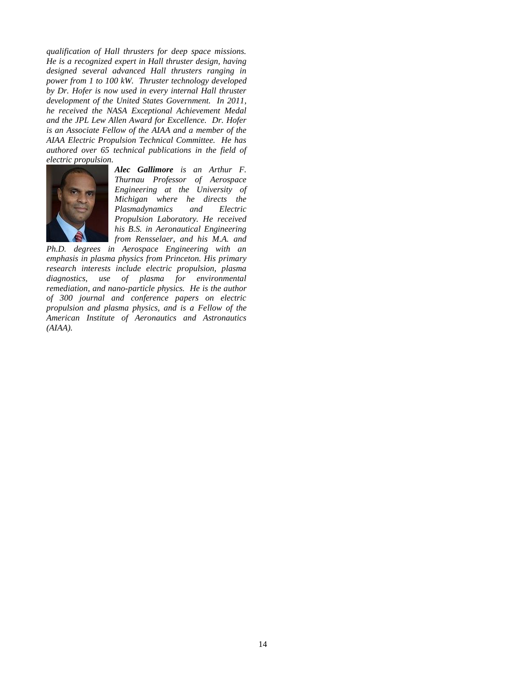*qualification of Hall thrusters for deep space missions. He is a recognized expert in Hall thruster design, having designed several advanced Hall thrusters ranging in power from 1 to 100 kW. Thruster technology developed by Dr. Hofer is now used in every internal Hall thruster development of the United States Government. In 2011, he received the NASA Exceptional Achievement Medal and the JPL Lew Allen Award for Excellence. Dr. Hofer is an Associate Fellow of the AIAA and a member of the AIAA Electric Propulsion Technical Committee. He has authored over 65 technical publications in the field of electric propulsion.*



*Alec Gallimore is an Arthur F. Thurnau Professor of Aerospace Engineering at the University of Michigan where he directs the Plasmadynamics and Electric Propulsion Laboratory. He received his B.S. in Aeronautical Engineering from Rensselaer, and his M.A. and* 

*Ph.D. degrees in Aerospace Engineering with an emphasis in plasma physics from Princeton. His primary research interests include electric propulsion, plasma diagnostics, use of plasma for environmental remediation, and nano-particle physics. He is the author of 300 journal and conference papers on electric propulsion and plasma physics, and is a Fellow of the American Institute of Aeronautics and Astronautics (AIAA).*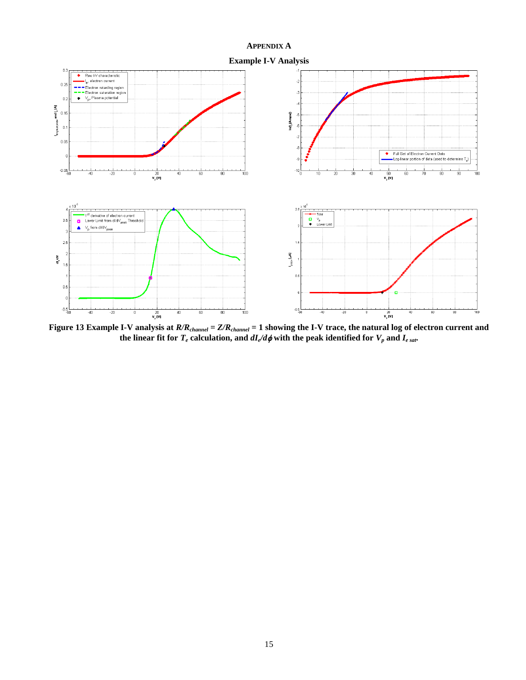# **APPENDIX A**

<span id="page-14-0"></span>

<span id="page-14-1"></span>**Figure 13 Example I-V analysis at** *R/Rchannel* **=** *Z/Rchannel* **= 1 showing the I-V trace, the natural log of electron current and**  the linear fit for  $T_e$  calculation, and  $dI_e/d\phi$  with the peak identified for  $V_p$  and  $I_{e\ sat}$ .